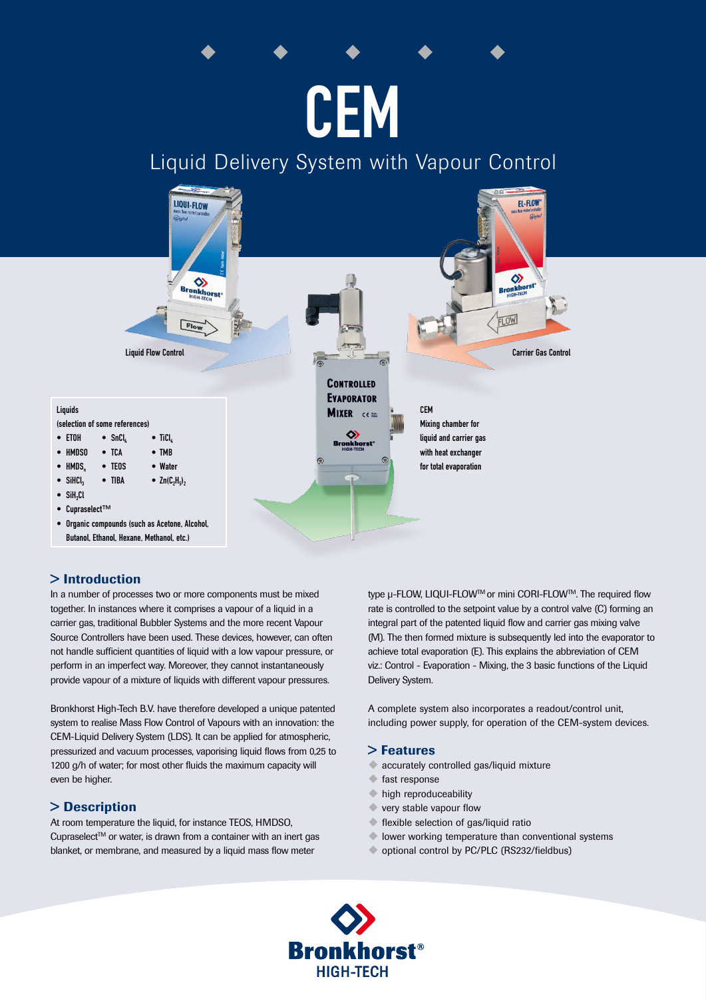# **CEM**

# Liquid Delivery System with Vapour Control



# > Introduction

In a number of processes two or more components must be mixed together. In instances where it comprises a vapour of a liquid in a carrier gas, traditional Bubbler Systems and the more recent Vapour Source Controllers have been used. These devices, however, can often not handle sufficient quantities of liquid with a low vapour pressure, or perform in an imperfect way. Moreover, they cannot instantaneously provide vapour of a mixture of liquids with different vapour pressures.

Bronkhorst High-Tech B.V. have therefore developed a unique patented system to realise Mass Flow Control of Vapours with an innovation: the CEM-Liquid Delivery System (LDS). It can be applied for atmospheric, pressurized and vacuum processes, vaporising liquid flows from 0,25 to 1200 g/h of water; for most other fluids the maximum capacity will even be higher.

# > Description

At room temperature the liquid, for instance TEOS, HMDSO, Cupraselect<sup>TM</sup> or water, is drawn from a container with an inert gas blanket, or membrane, and measured by a liquid mass flow meter

type u-FLOW, LIQUI-FLOW™ or mini CORI-FLOW™. The required flow rate is controlled to the setpoint value by a control valve (C) forming an integral part of the patented liquid flow and carrier gas mixing valve (M). The then formed mixture is subsequently led into the evaporator to achieve total evaporation (E). This explains the abbreviation of CEM viz.: Control - Evaporation - Mixing, the 3 basic functions of the Liquid Delivery System.

A complete system also incorporates a readout/control unit, including power supply, for operation of the CEM-system devices.

### > Features

- accurately controlled gas/liquid mixture
- $\bullet$  fast response
- $\bullet$  high reproduceability
- $\blacktriangleright$  very stable vapour flow
- $\blacklozenge$  flexible selection of gas/liquid ratio
- $\blacklozenge$  lower working temperature than conventional systems
- optional control by PC/PLC (RS232/fieldbus)

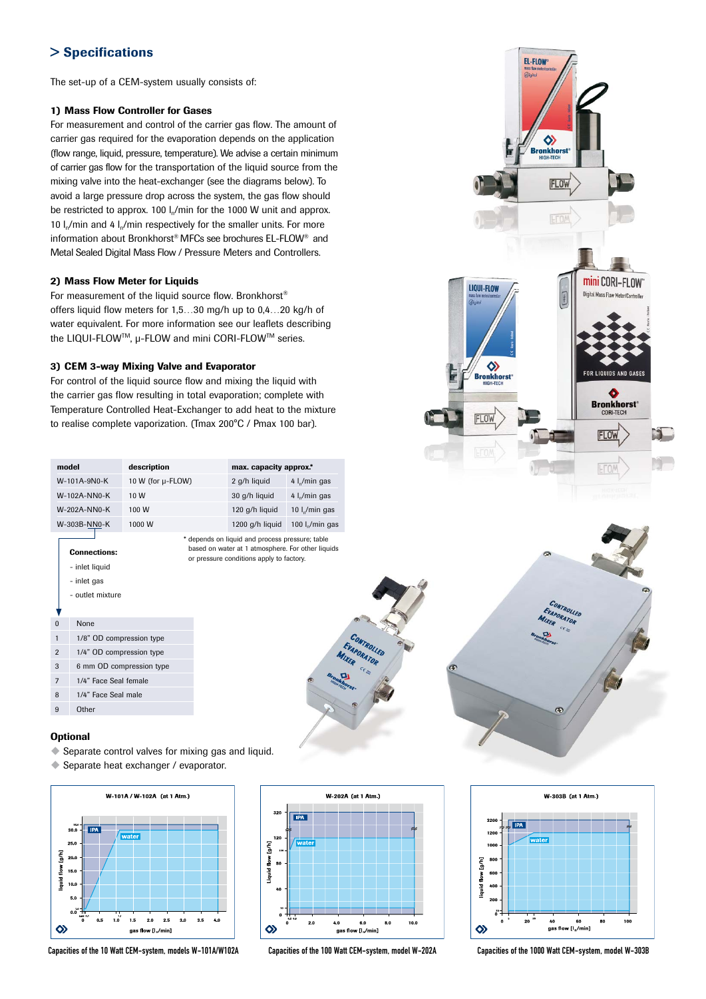# > Specifications

The set-up of a CEM-system usually consists of:

#### 1) Mass Flow Controller for Gases

For measurement and control of the carrier gas flow. The amount of carrier gas required for the evaporation depends on the application (flow range, liquid, pressure, temperature). We advise a certain minimum of carrier gas flow for the transportation of the liquid source from the mixing valve into the heat-exchanger (see the diagrams below). To avoid a large pressure drop across the system, the gas flow should be restricted to approx. 100  $\frac{1}{n}$  min for the 1000 W unit and approx. 10  $I_n/m$ in and 4  $I_n/m$ in respectively for the smaller units. For more information about Bronkhorst® MFCs see brochures EL-FLOW® and Metal Sealed Digital Mass Flow / Pressure Meters and Controllers.

#### 2) Mass Flow Meter for Liquids

For measurement of the liquid source flow. Bronkhorst® offers liquid flow meters for 1,5…30 mg/h up to 0,4…20 kg/h of water equivalent. For more information see our leaflets describing the LIQUI-FLOWTM, µ-FLOW and mini CORI-FLOWTM series.

#### 3) CEM 3-way Mixing Valve and Evaporator

For control of the liquid source flow and mixing the liquid with the carrier gas flow resulting in total evaporation; complete with Temperature Controlled Heat-Exchanger to add heat to the mixture to realise complete vaporization. (Tmax 200°C / Pmax 100 bar).

| model                             |                          | description |                                                                                                                                                  | max. capacity approx.* |                            |  |  |  |
|-----------------------------------|--------------------------|-------------|--------------------------------------------------------------------------------------------------------------------------------------------------|------------------------|----------------------------|--|--|--|
| W-101A-9N0-K<br>10 W (for µ-FLOW) |                          |             |                                                                                                                                                  | 2 g/h liquid           | 4 l <sub>n</sub> /min gas  |  |  |  |
| W-102A-NN0-K                      |                          | 10 W        |                                                                                                                                                  |                        | 4 $\frac{1}{2}$ min gas    |  |  |  |
| W-202A-NN0-K                      |                          | 100 W       |                                                                                                                                                  | 120 g/h liquid         | 10 l <sub>n</sub> /min gas |  |  |  |
|                                   | W-303B-NN0-K<br>1000 W   |             |                                                                                                                                                  | 1200 g/h liquid        | 100 $Ip/min$ gas           |  |  |  |
|                                   | <b>Connections:</b>      |             | * depends on liquid and process pressure; table<br>based on water at 1 atmosphere. For other liquids<br>or pressure conditions apply to factory. |                        |                            |  |  |  |
|                                   | - inlet liquid           |             |                                                                                                                                                  |                        |                            |  |  |  |
|                                   | - inlet gas              |             |                                                                                                                                                  |                        |                            |  |  |  |
| - outlet mixture                  |                          |             |                                                                                                                                                  |                        |                            |  |  |  |
|                                   |                          |             |                                                                                                                                                  |                        |                            |  |  |  |
| $\Omega$                          | None                     |             |                                                                                                                                                  |                        |                            |  |  |  |
| 1                                 | 1/8" OD compression type |             |                                                                                                                                                  |                        |                            |  |  |  |
| $\overline{2}$                    | 1/4" OD compression type |             |                                                                                                                                                  |                        |                            |  |  |  |
| 3                                 | 6 mm OD compression type |             |                                                                                                                                                  |                        |                            |  |  |  |
| $\overline{7}$                    | 1/4" Face Seal female    |             |                                                                                                                                                  |                        |                            |  |  |  |
| 8                                 | 1/4" Face Seal male      |             |                                                                                                                                                  |                        |                            |  |  |  |
| 9                                 | Other                    |             |                                                                                                                                                  |                        |                            |  |  |  |

#### **Optional**

 $\blacklozenge$  Separate control valves for mixing gas and liquid.

 $\blacklozenge$  Separate heat exchanger / evaporator.



Capacities of the 10 Watt CEM-system, models W-101A/W102A Capacities of the 100 Watt CEM-system, model W-202A Capacities of the 1000 Watt CEM-system, model W-303B



CONTROLLED EVAPORATOR





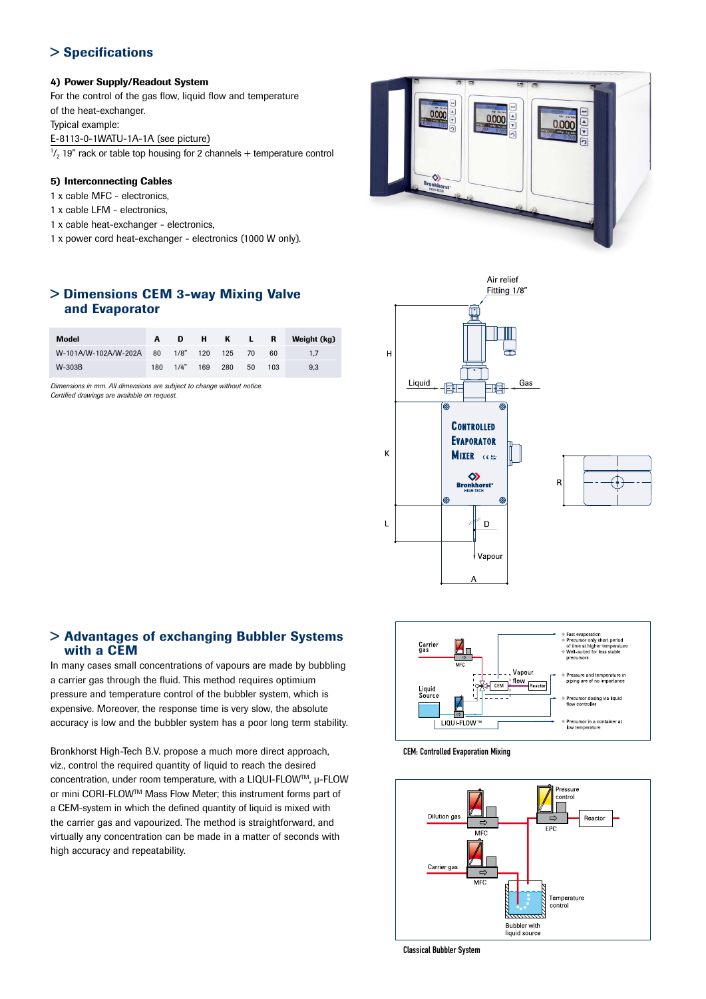# > Specifications

#### 4) Power Supply/Readout System

For the control of the gas flow, liquid flow and temperature of the heat-exchanger.

Typical example:

E-8113-0-1WATU-1A-1A (see picture)

 $\frac{1}{2}$  19" rack or table top housing for 2 channels + temperature control

#### 5) Interconnecting Cables

- 1 x cable MFC electronics,
- 1 x cable LFM electronics,
- 1 x cable heat-exchanger electronics,
- 1 x power cord heat-exchanger electronics (1000 W only).

# > Dimensions CEM 3-way Mixing Valve and Evaporator

| <b>Model</b>                 |     | D    | — H — |     | K L R     |     | Weight (kg) |
|------------------------------|-----|------|-------|-----|-----------|-----|-------------|
| W-101A/W-102A/W-202A 80 1/8" |     |      | 120   | 125 | <b>70</b> | 60  |             |
| W-303B                       | 180 | 1/4" | 169   | 280 | 50.       | 103 | 9.3         |

*Dimensions in mm. All dimensions are subject to change without notice. Certified drawings are available on request.*







## > Advantages of exchanging Bubbler Systems with a CEM

In many cases small concentrations of vapours are made by bubbling a carrier gas through the fluid. This method requires optimium pressure and temperature control of the bubbler system, which is expensive. Moreover, the response time is very slow, the absolute accuracy is low and the bubbler system has a poor long term stability.

Bronkhorst High-Tech B.V. propose a much more direct approach, viz., control the required quantity of liquid to reach the desired concentration, under room temperature, with a LIQUI-FLOWTM, µ-FLOW or mini CORI-FLOWTM Mass Flow Meter; this instrument forms part of a CEM-system in which the defined quantity of liquid is mixed with the carrier gas and vapourized. The method is straightforward, and virtually any concentration can be made in a matter of seconds with high accuracy and repeatability.



CEM: Controlled Evaporation Mixing